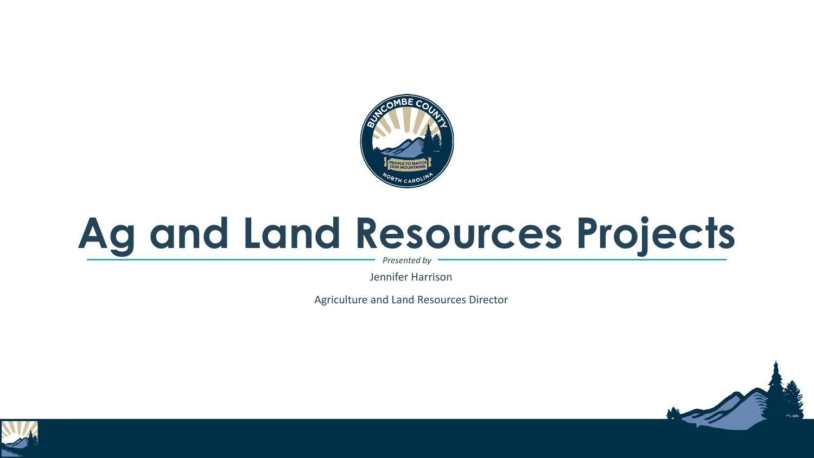

## **Ag and Land Resources Projects**

*Presented by*

Jennifer Harrison

Agriculture and Land Resources Director



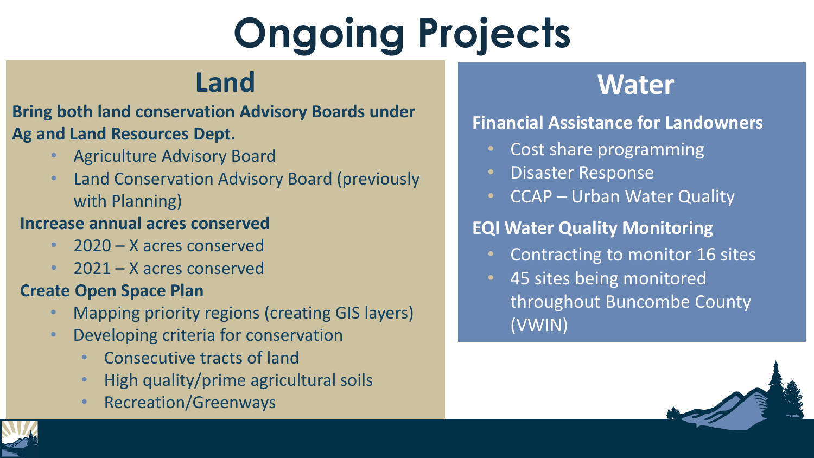# **Ongoing Projects**

## **Land**

### **Bring both land conservation Advisory Boards under Ag and Land Resources Dept.**

- Agriculture Advisory Board
- Land Conservation Advisory Board (previously with Planning)

#### **Increase annual acres conserved**

- 2020 X acres conserved
- 2021 X acres conserved

#### **Create Open Space Plan**

- Mapping priority regions (creating GIS layers)
- Developing criteria for conservation
	- Consecutive tracts of land
	- High quality/prime agricultural soils
	- Recreation/Greenways

## **Water**

### **Financial Assistance for Landowners**

- Cost share programming
- Disaster Response
- CCAP Urban Water Quality

### **EQI Water Quality Monitoring**

- Contracting to monitor 16 sites
- 45 sites being monitored throughout Buncombe County (VWIN)